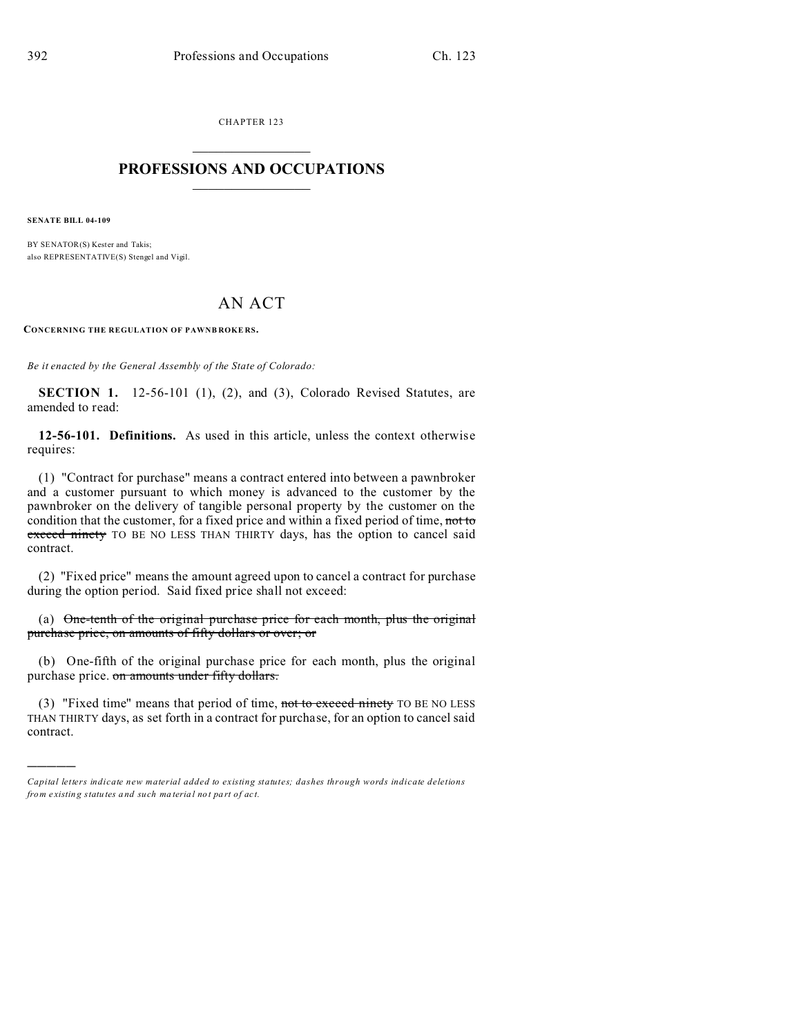CHAPTER 123  $\overline{\phantom{a}}$  , where  $\overline{\phantom{a}}$ 

## **PROFESSIONS AND OCCUPATIONS**  $\frac{1}{2}$  ,  $\frac{1}{2}$  ,  $\frac{1}{2}$  ,  $\frac{1}{2}$  ,  $\frac{1}{2}$  ,  $\frac{1}{2}$  ,  $\frac{1}{2}$

**SENATE BILL 04-109**

)))))

BY SENATOR(S) Kester and Takis; also REPRESENTATIVE(S) Stengel and Vigil.

## AN ACT

**CONCERNING THE REGULATION OF PAWNB ROKE RS.**

*Be it enacted by the General Assembly of the State of Colorado:*

**SECTION 1.** 12-56-101 (1), (2), and (3), Colorado Revised Statutes, are amended to read:

**12-56-101. Definitions.** As used in this article, unless the context otherwise requires:

(1) "Contract for purchase" means a contract entered into between a pawnbroker and a customer pursuant to which money is advanced to the customer by the pawnbroker on the delivery of tangible personal property by the customer on the condition that the customer, for a fixed price and within a fixed period of time, not to exceed ninety TO BE NO LESS THAN THIRTY days, has the option to cancel said contract.

(2) "Fixed price" means the amount agreed upon to cancel a contract for purchase during the option period. Said fixed price shall not exceed:

(a) One-tenth of the original purchase price for each month, plus the original purchase price, on amounts of fifty dollars or over; or

(b) One-fifth of the original purchase price for each month, plus the original purchase price. on amounts under fifty dollars.

(3) "Fixed time" means that period of time, not to exceed ninety TO BE NO LESS THAN THIRTY days, as set forth in a contract for purchase, for an option to cancel said contract.

*Capital letters indicate new material added to existing statutes; dashes through words indicate deletions from e xistin g statu tes a nd such ma teria l no t pa rt of ac t.*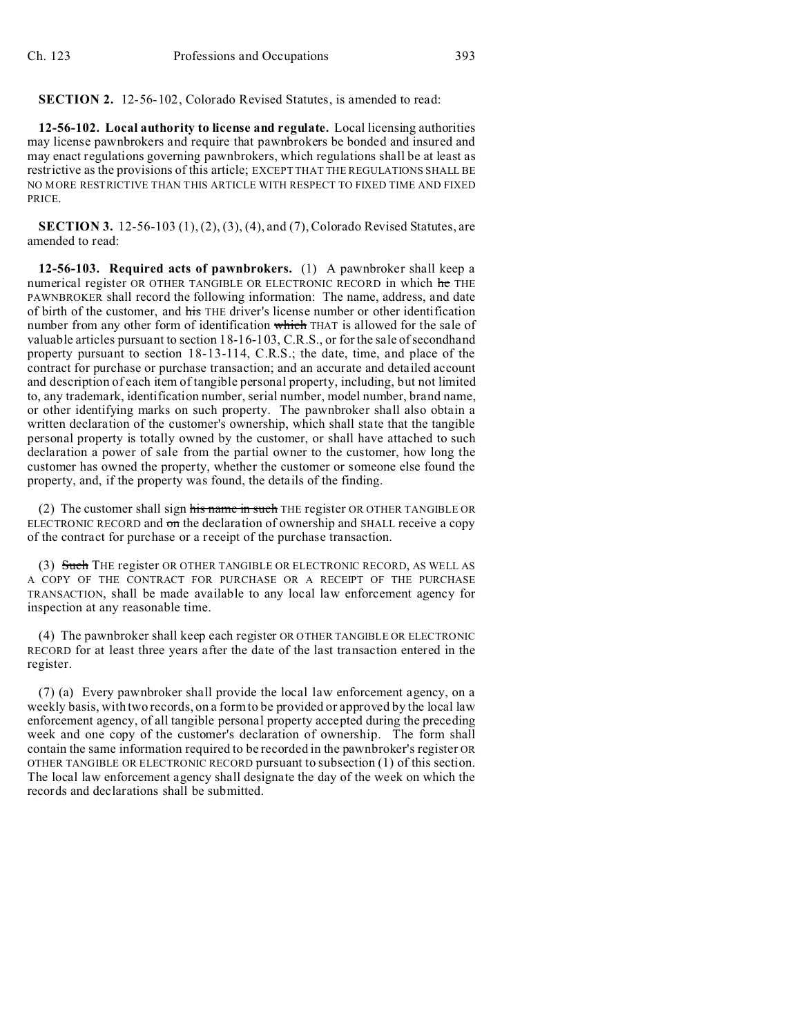**SECTION 2.** 12-56-102, Colorado Revised Statutes, is amended to read:

**12-56-102. Local authority to license and regulate.** Local licensing authorities may license pawnbrokers and require that pawnbrokers be bonded and insured and may enact regulations governing pawnbrokers, which regulations shall be at least as restrictive as the provisions of this article; EXCEPT THAT THE REGULATIONS SHALL BE NO MORE RESTRICTIVE THAN THIS ARTICLE WITH RESPECT TO FIXED TIME AND FIXED PRICE.

**SECTION 3.** 12-56-103 (1), (2), (3), (4), and (7), Colorado Revised Statutes, are amended to read:

**12-56-103. Required acts of pawnbrokers.** (1) A pawnbroker shall keep a numerical register OR OTHER TANGIBLE OR ELECTRONIC RECORD in which he THE PAWNBROKER shall record the following information: The name, address, and date of birth of the customer, and his THE driver's license number or other identification number from any other form of identification which THAT is allowed for the sale of valuable articles pursuant to section 18-16-103, C.R.S., or for the sale of secondhand property pursuant to section 18-13-114, C.R.S.; the date, time, and place of the contract for purchase or purchase transaction; and an accurate and detailed account and description of each item of tangible personal property, including, but not limited to, any trademark, identification number, serial number, model number, brand name, or other identifying marks on such property. The pawnbroker shall also obtain a written declaration of the customer's ownership, which shall state that the tangible personal property is totally owned by the customer, or shall have attached to such declaration a power of sale from the partial owner to the customer, how long the customer has owned the property, whether the customer or someone else found the property, and, if the property was found, the details of the finding.

(2) The customer shall sign his name in such THE register OR OTHER TANGIBLE OR ELECTRONIC RECORD and on the declaration of ownership and SHALL receive a copy of the contract for purchase or a receipt of the purchase transaction.

(3) Such THE register OR OTHER TANGIBLE OR ELECTRONIC RECORD, AS WELL AS A COPY OF THE CONTRACT FOR PURCHASE OR A RECEIPT OF THE PURCHASE TRANSACTION, shall be made available to any local law enforcement agency for inspection at any reasonable time.

(4) The pawnbroker shall keep each register OR OTHER TANGIBLE OR ELECTRONIC RECORD for at least three years after the date of the last transaction entered in the register.

(7) (a) Every pawnbroker shall provide the local law enforcement agency, on a weekly basis, with two records, on a form to be provided or approved by the local law enforcement agency, of all tangible personal property accepted during the preceding week and one copy of the customer's declaration of ownership. The form shall contain the same information required to be recorded in the pawnbroker's register OR OTHER TANGIBLE OR ELECTRONIC RECORD pursuant to subsection (1) of this section. The local law enforcement agency shall designate the day of the week on which the records and declarations shall be submitted.